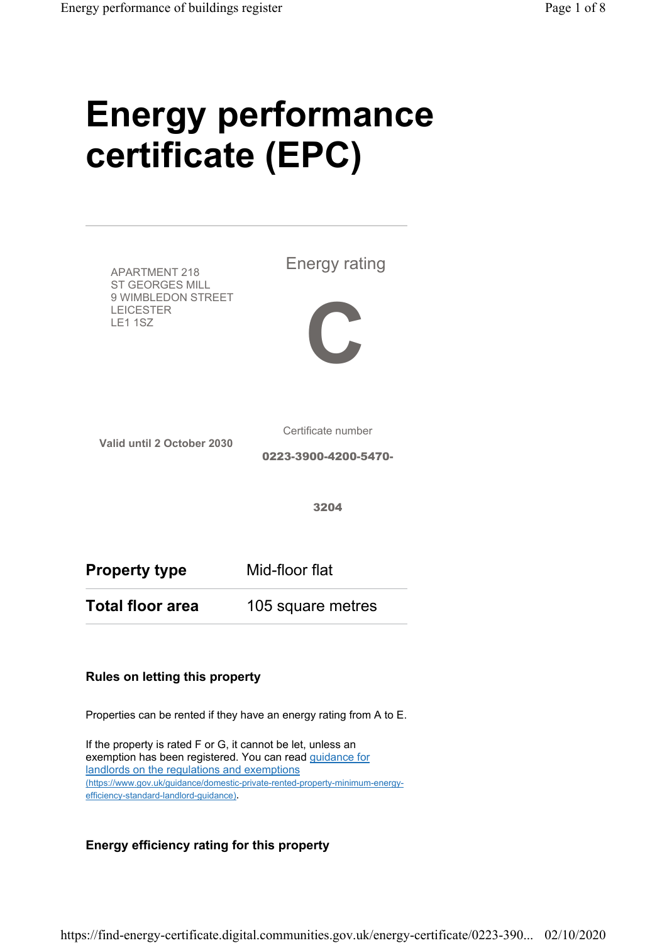# Energy performance certificate (EPC)



#### Properties can be rented if they have an energy rating from A to E.

If the property is rated F or G, it cannot be let, unless an exemption has been registered. You can read guidance for landlords on the regulations and exemptions (https://www.gov.uk/guidance/domestic-private-rented-property-minimum-energyefficiency-standard-landlord-guidance).

#### Energy efficiency rating for this property

https://find-energy-certificate.digital.communities.gov.uk/energy-certificate/0223-390... 02/10/2020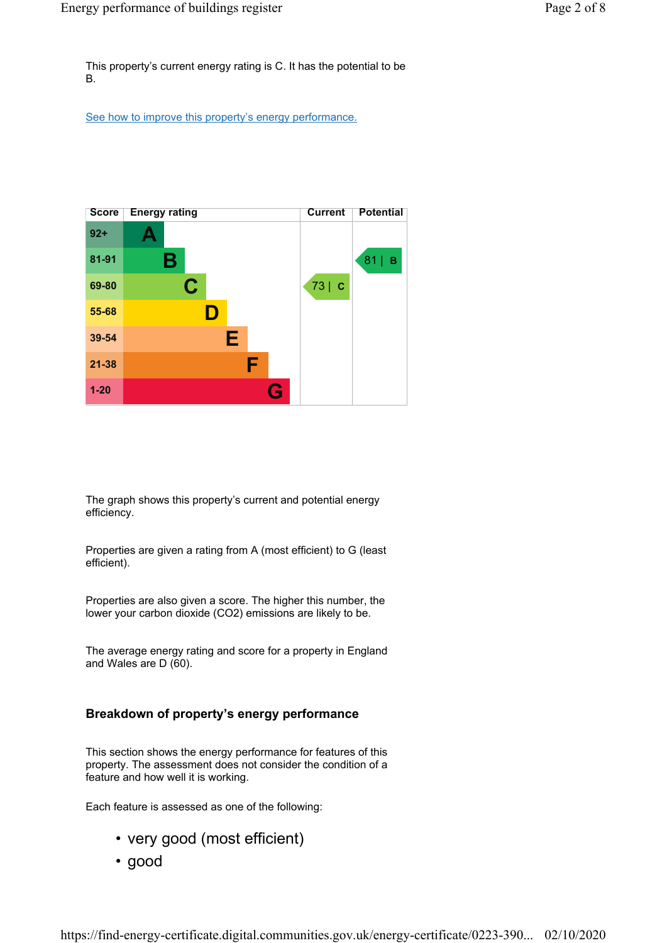This property's current energy rating is C. It has the potential to be B.

See how to improve this property's energy performance.



The graph shows this property's current and potential energy efficiency.

Properties are given a rating from A (most efficient) to G (least efficient).

Properties are also given a score. The higher this number, the lower your carbon dioxide (CO2) emissions are likely to be.

The average energy rating and score for a property in England and Wales are D (60).

#### Breakdown of property's energy performance

This section shows the energy performance for features of this property. The assessment does not consider the condition of a feature and how well it is working.

Each feature is assessed as one of the following:

- very good (most efficient)
- good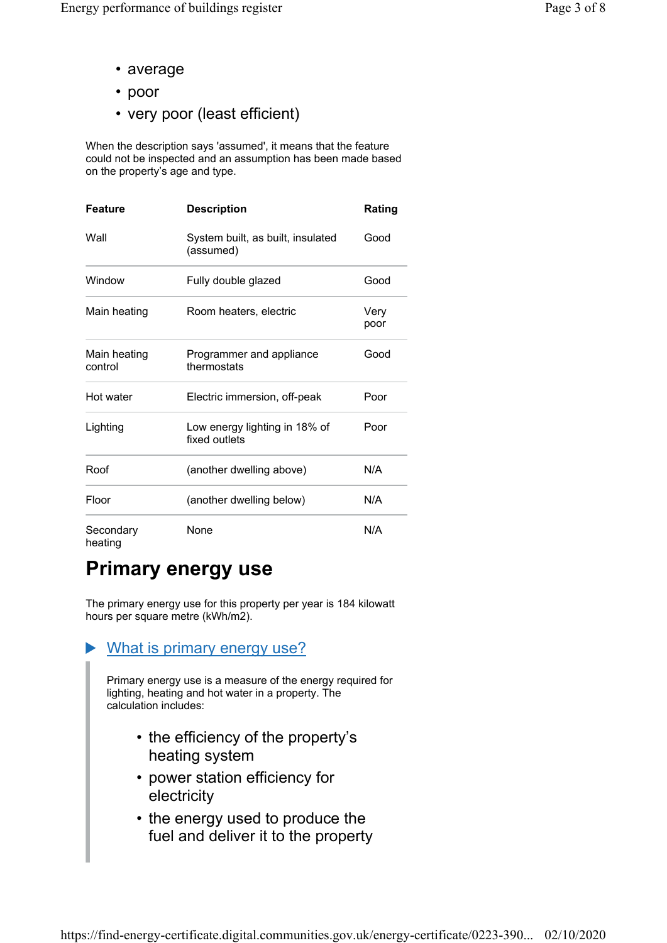- average
- poor
- very poor (least efficient)

When the description says 'assumed', it means that the feature could not be inspected and an assumption has been made based on the property's age and type.

| <b>Feature</b>          | <b>Description</b>                             | Rating       |
|-------------------------|------------------------------------------------|--------------|
| Wall                    | System built, as built, insulated<br>(assumed) | Good         |
| Window                  | Fully double glazed                            | Good         |
| Main heating            | Room heaters, electric                         | Very<br>poor |
| Main heating<br>control | Programmer and appliance<br>thermostats        | Good         |
| Hot water               | Electric immersion, off-peak                   | Poor         |
| Lighting                | Low energy lighting in 18% of<br>fixed outlets | Poor         |
| Roof                    | (another dwelling above)                       | N/A          |
| Floor                   | (another dwelling below)                       | N/A          |
| Secondary<br>heating    | None                                           | N/A          |

### Primary energy use

The primary energy use for this property per year is 184 kilowatt hours per square metre (kWh/m2).

#### What is primary energy use?

Primary energy use is a measure of the energy required for lighting, heating and hot water in a property. The calculation includes:

- the efficiency of the property's heating system
- power station efficiency for electricity
- the energy used to produce the fuel and deliver it to the property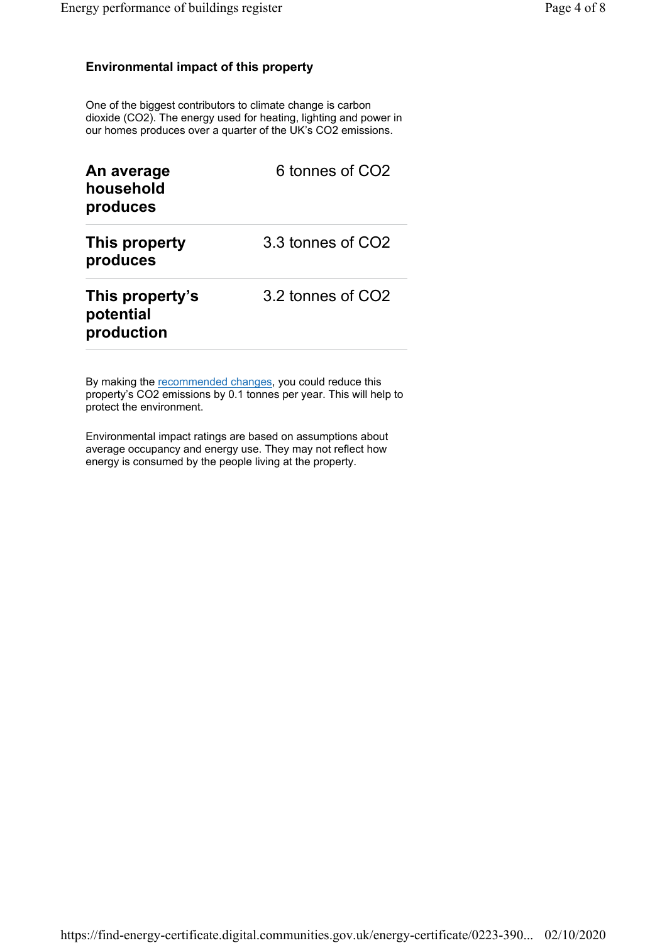#### Environmental impact of this property

One of the biggest contributors to climate change is carbon dioxide (CO2). The energy used for heating, lighting and power in our homes produces over a quarter of the UK's CO2 emissions.

| An average<br>household<br>produces        | 6 tonnes of CO <sub>2</sub> |
|--------------------------------------------|-----------------------------|
| This property<br>produces                  | 3.3 tonnes of CO2           |
| This property's<br>potential<br>production | 3.2 tonnes of CO2           |

By making the recommended changes, you could reduce this property's CO2 emissions by 0.1 tonnes per year. This will help to protect the environment.

Environmental impact ratings are based on assumptions about average occupancy and energy use. They may not reflect how energy is consumed by the people living at the property.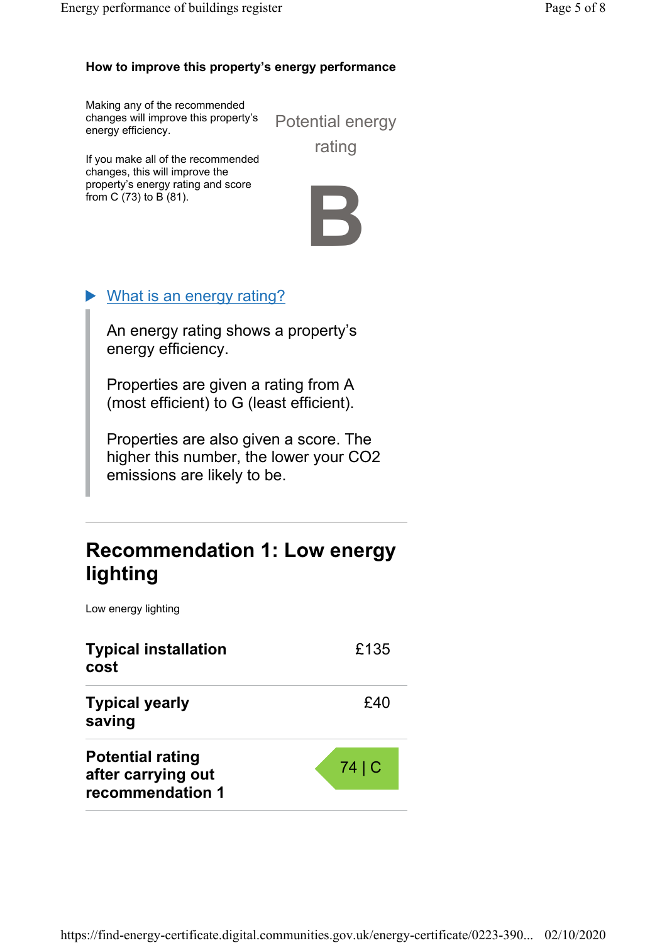### How to improve this property's energy performance

Making any of the recommended changes will improve this property's energy efficiency.

Potential energy rating

If you make all of the recommended changes, this will improve the property's energy rating and score from C (73) to B (81).



### What is an energy rating?

An energy rating shows a property's energy efficiency.

Properties are given a rating from A (most efficient) to G (least efficient).

Properties are also given a score. The higher this number, the lower your CO2 emissions are likely to be.

### Recommendation 1: Low energy lighting

Low energy lighting

| <b>Typical installation</b><br>cost                               | £135 |
|-------------------------------------------------------------------|------|
| <b>Typical yearly</b><br>saving                                   | £40  |
| <b>Potential rating</b><br>after carrying out<br>recommendation 1 | 74 C |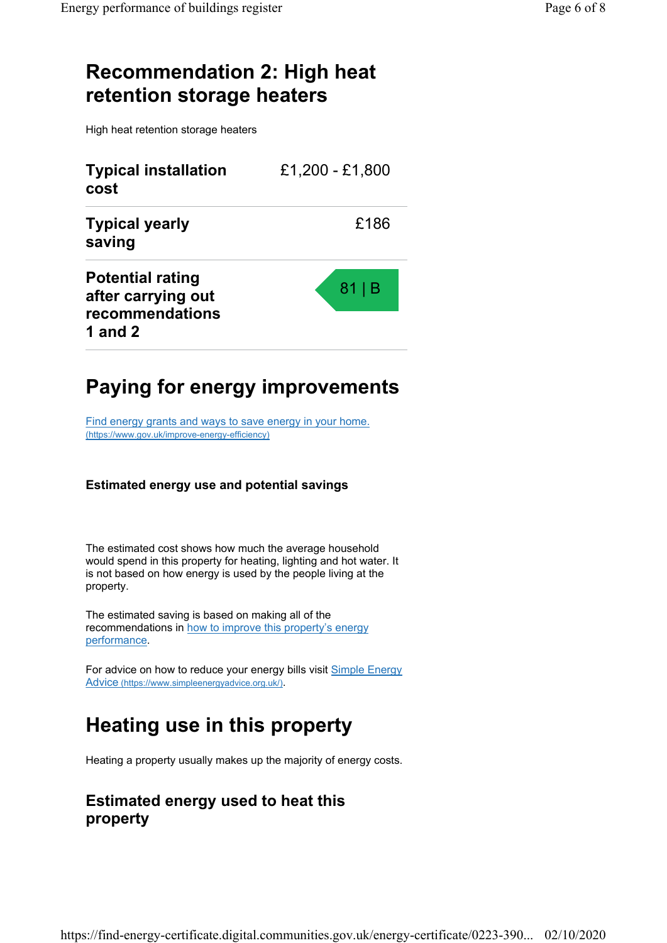### Recommendation 2: High heat retention storage heaters

High heat retention storage heaters

| <b>Typical installation</b><br>cost                                         | £1,200 - £1,800 |
|-----------------------------------------------------------------------------|-----------------|
| <b>Typical yearly</b><br>saving                                             | £186            |
| <b>Potential rating</b><br>after carrying out<br>recommendations<br>1 and 2 | $81$  B         |

# Paying for energy improvements

Find energy grants and ways to save energy in your home. (https://www.gov.uk/improve-energy-efficiency)

#### Estimated energy use and potential savings

The estimated cost shows how much the average household would spend in this property for heating, lighting and hot water. It is not based on how energy is used by the people living at the property.

The estimated saving is based on making all of the recommendations in how to improve this property's energy performance.

For advice on how to reduce your energy bills visit Simple Energy Advice (https://www.simpleenergyadvice.org.uk/).

### Heating use in this property

Heating a property usually makes up the majority of energy costs.

### Estimated energy used to heat this property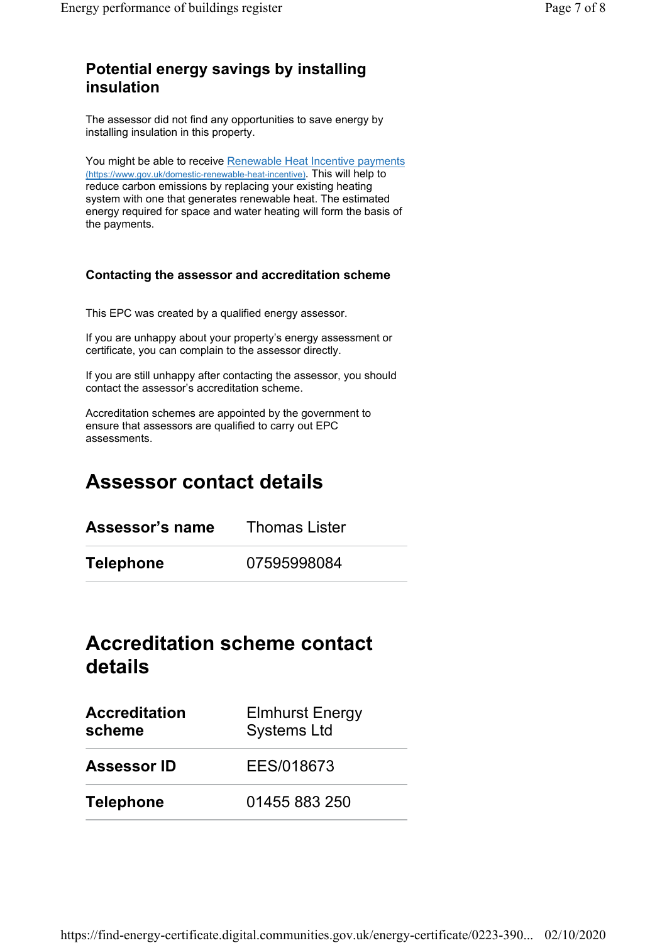### Potential energy savings by installing insulation

The assessor did not find any opportunities to save energy by installing insulation in this property.

You might be able to receive Renewable Heat Incentive payments (https://www.gov.uk/domestic-renewable-heat-incentive). This will help to reduce carbon emissions by replacing your existing heating system with one that generates renewable heat. The estimated energy required for space and water heating will form the basis of the payments.

#### Contacting the assessor and accreditation scheme

This EPC was created by a qualified energy assessor.

If you are unhappy about your property's energy assessment or certificate, you can complain to the assessor directly.

If you are still unhappy after contacting the assessor, you should contact the assessor's accreditation scheme.

Accreditation schemes are appointed by the government to ensure that assessors are qualified to carry out EPC assessments.

# Assessor contact details

| Assessor's name | <b>Thomas Lister</b> |
|-----------------|----------------------|
| Telephone       | 07595998084          |

### Accreditation scheme contact details

| <b>Accreditation</b><br>scheme | <b>Elmhurst Energy</b><br><b>Systems Ltd</b> |
|--------------------------------|----------------------------------------------|
| <b>Assessor ID</b>             | EES/018673                                   |
| <b>Telephone</b>               | 01455 883 250                                |